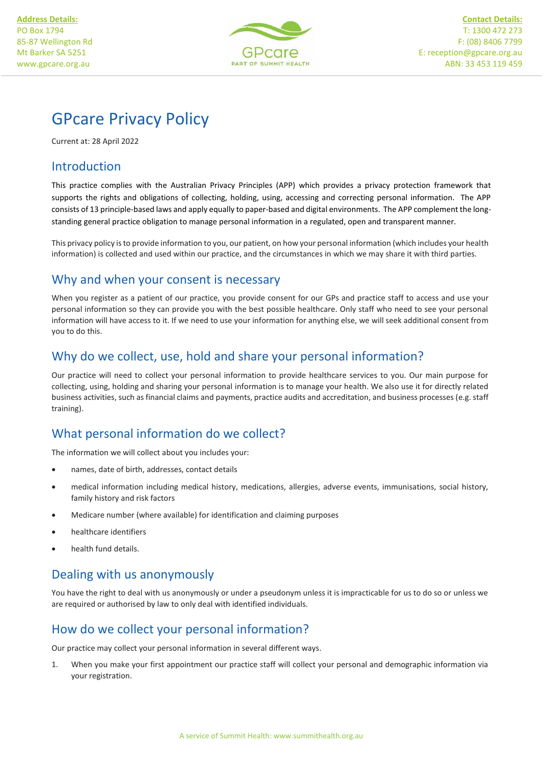

I

# GPcare Privacy Policy

Current at: 28 April 2022

### Introduction

This practice complies with the Australian Privacy Principles (APP) which provides a privacy protection framework that supports the rights and obligations of collecting, holding, using, accessing and correcting personal information. The APP consists of 13 principle-based laws and apply equally to paper-based and digital environments. The APP complement the longstanding general practice obligation to manage personal information in a regulated, open and transparent manner.

This privacy policy is to provide information to you, our patient, on how your personal information (which includes your health information) is collected and used within our practice, and the circumstances in which we may share it with third parties.

## Why and when your consent is necessary

When you register as a patient of our practice, you provide consent for our GPs and practice staff to access and use your personal information so they can provide you with the best possible healthcare. Only staff who need to see your personal information will have access to it. If we need to use your information for anything else, we will seek additional consent from you to do this.

## Why do we collect, use, hold and share your personal information?

Our practice will need to collect your personal information to provide healthcare services to you. Our main purpose for collecting, using, holding and sharing your personal information is to manage your health. We also use it for directly related business activities, such as financial claims and payments, practice audits and accreditation, and business processes (e.g. staff training).

### What personal information do we collect?

The information we will collect about you includes your:

- names, date of birth, addresses, contact details
- medical information including medical history, medications, allergies, adverse events, immunisations, social history, family history and risk factors
- Medicare number (where available) for identification and claiming purposes
- healthcare identifiers
- health fund details.

# Dealing with us anonymously

You have the right to deal with us anonymously or under a pseudonym unless it is impracticable for us to do so or unless we are required or authorised by law to only deal with identified individuals.

### How do we collect your personal information?

Our practice may collect your personal information in several different ways.

1. When you make your first appointment our practice staff will collect your personal and demographic information via your registration.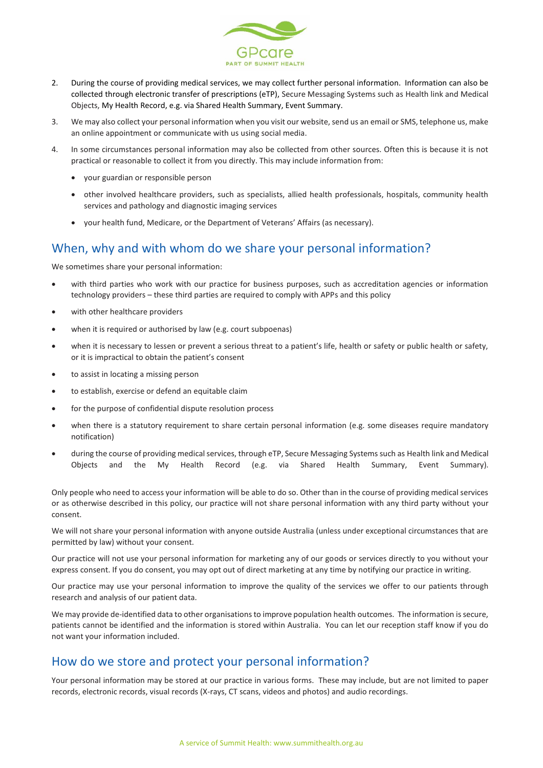

- 2. During the course of providing medical services, we may collect further personal information. Information can also be collected through electronic transfer of prescriptions (eTP), Secure Messaging Systems such as Health link and Medical Objects, My Health Record, e.g. via Shared Health Summary, Event Summary.
- 3. We may also collect your personal information when you visit our website, send us an email or SMS, telephone us, make an online appointment or communicate with us using social media.
- 4. In some circumstances personal information may also be collected from other sources. Often this is because it is not practical or reasonable to collect it from you directly. This may include information from:
	- your guardian or responsible person
	- other involved healthcare providers, such as specialists, allied health professionals, hospitals, community health services and pathology and diagnostic imaging services
	- your health fund, Medicare, or the Department of Veterans' Affairs (as necessary).

#### When, why and with whom do we share your personal information?

We sometimes share your personal information:

- with third parties who work with our practice for business purposes, such as accreditation agencies or information technology providers – these third parties are required to comply with APPs and this policy
- with other healthcare providers
- when it is required or authorised by law (e.g. court subpoenas)
- when it is necessary to lessen or prevent a serious threat to a patient's life, health or safety or public health or safety, or it is impractical to obtain the patient's consent
- to assist in locating a missing person
- to establish, exercise or defend an equitable claim
- for the purpose of confidential dispute resolution process
- when there is a statutory requirement to share certain personal information (e.g. some diseases require mandatory notification)
- during the course of providing medical services, through eTP, Secure Messaging Systems such as Health link and Medical Objects and the My Health Record (e.g. via Shared Health Summary, Event Summary).

Only people who need to access your information will be able to do so. Other than in the course of providing medical services or as otherwise described in this policy, our practice will not share personal information with any third party without your consent.

We will not share your personal information with anyone outside Australia (unless under exceptional circumstances that are permitted by law) without your consent.

Our practice will not use your personal information for marketing any of our goods or services directly to you without your express consent. If you do consent, you may opt out of direct marketing at any time by notifying our practice in writing.

Our practice may use your personal information to improve the quality of the services we offer to our patients through research and analysis of our patient data.

We may provide de-identified data to other organisations to improve population health outcomes. The information is secure, patients cannot be identified and the information is stored within Australia. You can let our reception staff know if you do not want your information included.

#### How do we store and protect your personal information?

Your personal information may be stored at our practice in various forms. These may include, but are not limited to paper records, electronic records, visual records (X-rays, CT scans, videos and photos) and audio recordings.